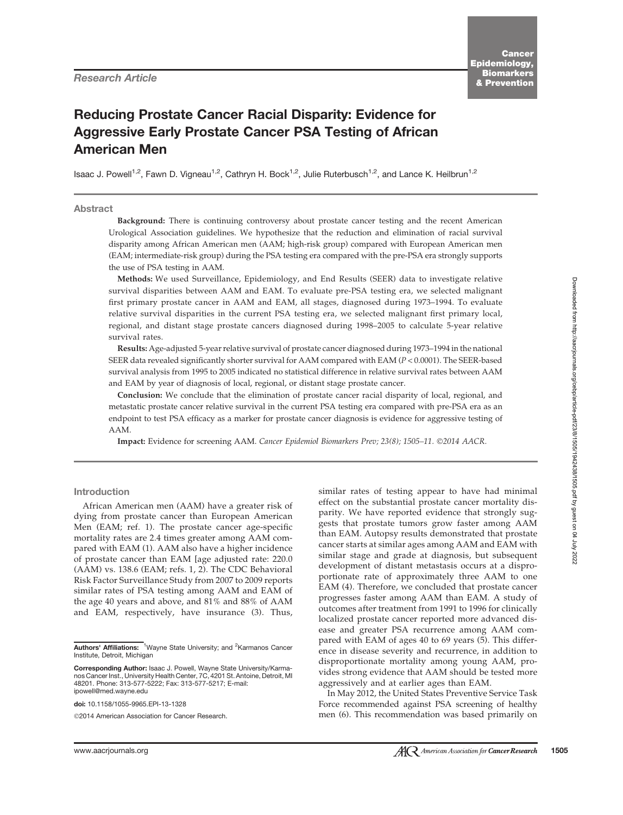# Reducing Prostate Cancer Racial Disparity: Evidence for Aggressive Early Prostate Cancer PSA Testing of African American Men

Isaac J. Powell<sup>1,2</sup>, Fawn D. Vigneau<sup>1,2</sup>, Cathryn H. Bock<sup>1,2</sup>, Julie Ruterbusch<sup>1,2</sup>, and Lance K. Heilbrun<sup>1,2</sup>

## Abstract

Background: There is continuing controversy about prostate cancer testing and the recent American Urological Association guidelines. We hypothesize that the reduction and elimination of racial survival disparity among African American men (AAM; high-risk group) compared with European American men (EAM; intermediate-risk group) during the PSA testing era compared with the pre-PSA era strongly supports the use of PSA testing in AAM.

Methods: We used Surveillance, Epidemiology, and End Results (SEER) data to investigate relative survival disparities between AAM and EAM. To evaluate pre-PSA testing era, we selected malignant first primary prostate cancer in AAM and EAM, all stages, diagnosed during 1973–1994. To evaluate relative survival disparities in the current PSA testing era, we selected malignant first primary local, regional, and distant stage prostate cancers diagnosed during 1998–2005 to calculate 5-year relative survival rates.

Results: Age-adjusted 5-year relative survival of prostate cancer diagnosed during 1973–1994 in the national SEER data revealed significantly shorter survival for AAM compared with EAM (P < 0.0001). The SEER-based survival analysis from 1995 to 2005 indicated no statistical difference in relative survival rates between AAM and EAM by year of diagnosis of local, regional, or distant stage prostate cancer.

Conclusion: We conclude that the elimination of prostate cancer racial disparity of local, regional, and metastatic prostate cancer relative survival in the current PSA testing era compared with pre-PSA era as an endpoint to test PSA efficacy as a marker for prostate cancer diagnosis is evidence for aggressive testing of AAM.

Impact: Evidence for screening AAM. Cancer Epidemiol Biomarkers Prev; 23(8); 1505-11. ©2014 AACR.

## Introduction

African American men (AAM) have a greater risk of dying from prostate cancer than European American Men (EAM; ref. 1). The prostate cancer age-specific mortality rates are 2.4 times greater among AAM compared with EAM (1). AAM also have a higher incidence of prostate cancer than EAM [age adjusted rate: 220.0 (AAM) vs. 138.6 (EAM; refs. 1, 2). The CDC Behavioral Risk Factor Surveillance Study from 2007 to 2009 reports similar rates of PSA testing among AAM and EAM of the age 40 years and above, and 81% and 88% of AAM and EAM, respectively, have insurance (3). Thus,

doi: 10.1158/1055-9965.EPI-13-1328

©2014 American Association for Cancer Research.

similar rates of testing appear to have had minimal effect on the substantial prostate cancer mortality disparity. We have reported evidence that strongly suggests that prostate tumors grow faster among AAM than EAM. Autopsy results demonstrated that prostate cancer starts at similar ages among AAM and EAM with similar stage and grade at diagnosis, but subsequent development of distant metastasis occurs at a disproportionate rate of approximately three AAM to one EAM (4). Therefore, we concluded that prostate cancer progresses faster among AAM than EAM. A study of outcomes after treatment from 1991 to 1996 for clinically localized prostate cancer reported more advanced disease and greater PSA recurrence among AAM compared with EAM of ages 40 to 69 years (5). This difference in disease severity and recurrence, in addition to disproportionate mortality among young AAM, provides strong evidence that AAM should be tested more aggressively and at earlier ages than EAM.

In May 2012, the United States Preventive Service Task Force recommended against PSA screening of healthy men (6). This recommendation was based primarily on

Authors' Affiliations: <sup>1</sup>Wayne State University; and <sup>2</sup>Karmanos Cancer Institute, Detroit, Michigan

Corresponding Author: Isaac J. Powell, Wayne State University/Karmanos Cancer Inst., University Health Center, 7C, 4201 St. Antoine, Detroit, MI 48201. Phone: 313-577-5222; Fax: 313-577-5217; E-mail: ipowell@med.wayne.edu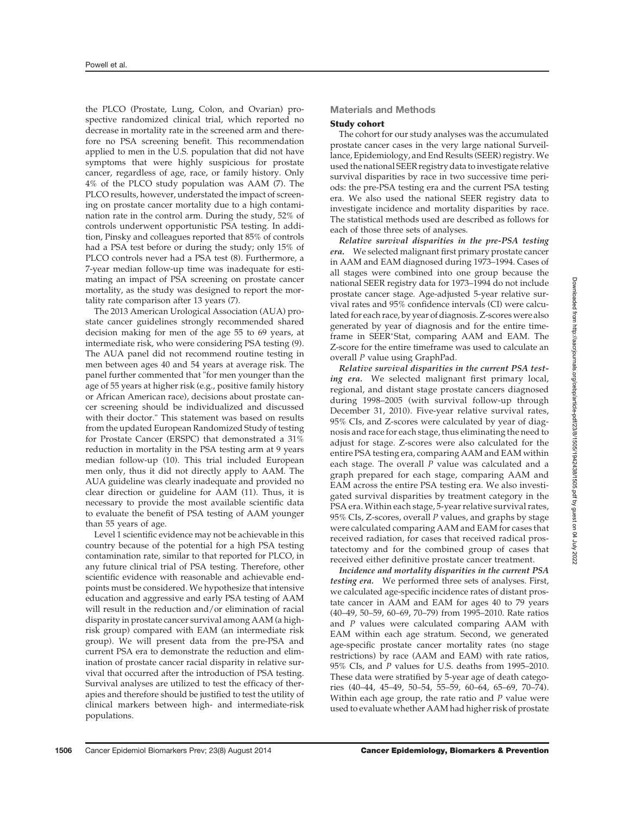the PLCO (Prostate, Lung, Colon, and Ovarian) prospective randomized clinical trial, which reported no decrease in mortality rate in the screened arm and therefore no PSA screening benefit. This recommendation applied to men in the U.S. population that did not have symptoms that were highly suspicious for prostate cancer, regardless of age, race, or family history. Only 4% of the PLCO study population was AAM (7). The PLCO results, however, understated the impact of screening on prostate cancer mortality due to a high contamination rate in the control arm. During the study, 52% of controls underwent opportunistic PSA testing. In addition, Pinsky and colleagues reported that 85% of controls had a PSA test before or during the study; only 15% of PLCO controls never had a PSA test (8). Furthermore, a 7-year median follow-up time was inadequate for estimating an impact of PSA screening on prostate cancer mortality, as the study was designed to report the mortality rate comparison after 13 years (7).

The 2013 American Urological Association (AUA) prostate cancer guidelines strongly recommended shared decision making for men of the age 55 to 69 years, at intermediate risk, who were considering PSA testing (9). The AUA panel did not recommend routine testing in men between ages 40 and 54 years at average risk. The panel further commented that "for men younger than the age of 55 years at higher risk (e.g., positive family history or African American race), decisions about prostate cancer screening should be individualized and discussed with their doctor." This statement was based on results from the updated European Randomized Study of testing for Prostate Cancer (ERSPC) that demonstrated a 31% reduction in mortality in the PSA testing arm at 9 years median follow-up (10). This trial included European men only, thus it did not directly apply to AAM. The AUA guideline was clearly inadequate and provided no clear direction or guideline for AAM (11). Thus, it is necessary to provide the most available scientific data to evaluate the benefit of PSA testing of AAM younger than 55 years of age.

Level 1 scientific evidence may not be achievable in this country because of the potential for a high PSA testing contamination rate, similar to that reported for PLCO, in any future clinical trial of PSA testing. Therefore, other scientific evidence with reasonable and achievable endpoints must be considered. We hypothesize that intensive education and aggressive and early PSA testing of AAM will result in the reduction and/or elimination of racial disparity in prostate cancer survival among AAM (a highrisk group) compared with EAM (an intermediate risk group). We will present data from the pre-PSA and current PSA era to demonstrate the reduction and elimination of prostate cancer racial disparity in relative survival that occurred after the introduction of PSA testing. Survival analyses are utilized to test the efficacy of therapies and therefore should be justified to test the utility of clinical markers between high- and intermediate-risk populations.

## Materials and Methods

## Study cohort

The cohort for our study analyses was the accumulated prostate cancer cases in the very large national Surveillance, Epidemiology, and End Results (SEER) registry.We used the national SEER registry data to investigate relative survival disparities by race in two successive time periods: the pre-PSA testing era and the current PSA testing era. We also used the national SEER registry data to investigate incidence and mortality disparities by race. The statistical methods used are described as follows for each of those three sets of analyses.

Relative survival disparities in the pre-PSA testing era. We selected malignant first primary prostate cancer in AAM and EAM diagnosed during 1973–1994. Cases of all stages were combined into one group because the national SEER registry data for 1973–1994 do not include prostate cancer stage. Age-adjusted 5-year relative survival rates and 95% confidence intervals (CI) were calculated for each race, by year of diagnosis. Z-scores were also generated by year of diagnosis and for the entire timeframe in SEER\*Stat, comparing AAM and EAM. The Z-score for the entire timeframe was used to calculate an overall P value using GraphPad.

Relative survival disparities in the current PSA testing era. We selected malignant first primary local, regional, and distant stage prostate cancers diagnosed during 1998–2005 (with survival follow-up through December 31, 2010). Five-year relative survival rates, 95% CIs, and Z-scores were calculated by year of diagnosis and race for each stage, thus eliminating the need to adjust for stage. Z-scores were also calculated for the entire PSA testing era, comparing AAM and EAM within each stage. The overall  $P$  value was calculated and a graph prepared for each stage, comparing AAM and EAM across the entire PSA testing era. We also investigated survival disparities by treatment category in the PSA era. Within each stage, 5-year relative survival rates, 95% CIs, Z-scores, overall P values, and graphs by stage were calculated comparing AAM and EAM for cases that received radiation, for cases that received radical prostatectomy and for the combined group of cases that received either definitive prostate cancer treatment.

Incidence and mortality disparities in the current PSA testing era. We performed three sets of analyses. First, we calculated age-specific incidence rates of distant prostate cancer in AAM and EAM for ages 40 to 79 years (40–49, 50–59, 60–69, 70–79) from 1995–2010. Rate ratios and  $P$  values were calculated comparing  $AAM$  with EAM within each age stratum. Second, we generated age-specific prostate cancer mortality rates (no stage restrictions) by race (AAM and EAM) with rate ratios, 95% CIs, and P values for U.S. deaths from 1995–2010. These data were stratified by 5-year age of death categories (40–44, 45–49, 50–54, 55–59, 60–64, 65–69, 70–74). Within each age group, the rate ratio and  $P$  value were used to evaluate whether AAM had higher risk of prostate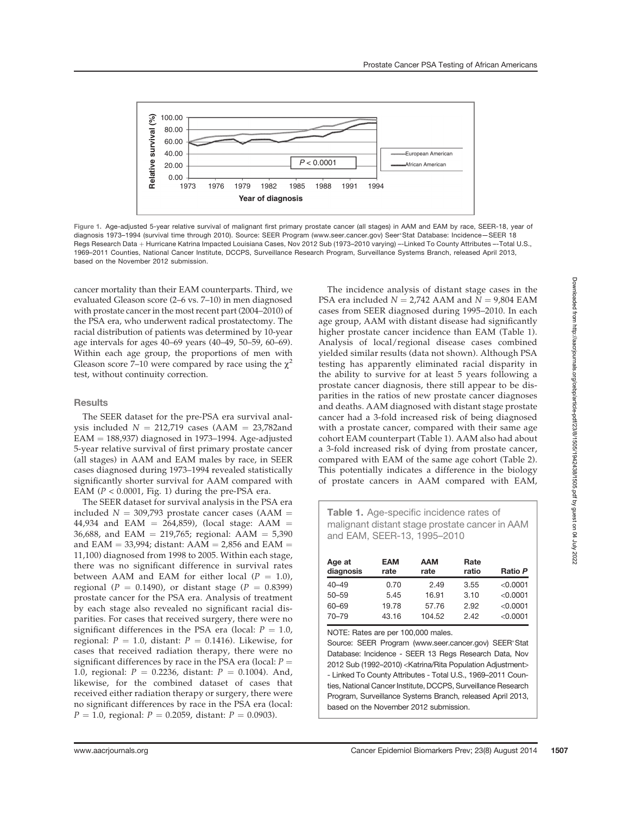

Figure 1. Age-adjusted 5-year relative survival of malignant first primary prostate cancer (all stages) in AAM and EAM by race, SEER-18, year of diagnosis 1973-1994 (survival time through 2010). Source: SEER Program (www.seer.cancer.gov) Seer®Stat Database: Incidence-SEER 18 Regs Research Data + Hurricane Katrina Impacted Louisiana Cases, Nov 2012 Sub (1973–2010 varying) --Linked To County Attributes --Total U.S., 1969–2011 Counties, National Cancer Institute, DCCPS, Surveillance Research Program, Surveillance Systems Branch, released April 2013, based on the November 2012 submission.

cancer mortality than their EAM counterparts. Third, we evaluated Gleason score (2–6 vs. 7–10) in men diagnosed with prostate cancer in the most recent part (2004–2010) of the PSA era, who underwent radical prostatectomy. The racial distribution of patients was determined by 10-year age intervals for ages 40–69 years (40–49, 50–59, 60–69). Within each age group, the proportions of men with Gleason score 7–10 were compared by race using the  $\gamma^2$ test, without continuity correction.

## Results

The SEER dataset for the pre-PSA era survival analysis included  $N = 212,719$  cases (AAM = 23,782and  $EAM = 188,937$ ) diagnosed in 1973–1994. Age-adjusted 5-year relative survival of first primary prostate cancer (all stages) in AAM and EAM males by race, in SEER cases diagnosed during 1973–1994 revealed statistically significantly shorter survival for AAM compared with EAM ( $P < 0.0001$ , Fig. 1) during the pre-PSA era.

The SEER dataset for survival analysis in the PSA era included  $N = 309,793$  prostate cancer cases (AAM = 44,934 and EAM = 264,859), (local stage: AAM = 36,688, and EAM = 219,765; regional:  $AAM = 5,390$ and EAM = 33,994; distant:  $AAM = 2,856$  and EAM = 11,100) diagnosed from 1998 to 2005. Within each stage, there was no significant difference in survival rates between AAM and EAM for either local  $(P = 1.0)$ , regional ( $P = 0.1490$ ), or distant stage ( $P = 0.8399$ ) prostate cancer for the PSA era. Analysis of treatment by each stage also revealed no significant racial disparities. For cases that received surgery, there were no significant differences in the PSA era (local:  $P = 1.0$ , regional:  $P = 1.0$ , distant:  $P = 0.1416$ ). Likewise, for cases that received radiation therapy, there were no significant differences by race in the PSA era (local:  $P =$ 1.0, regional:  $P = 0.2236$ , distant:  $P = 0.1004$ ). And, likewise, for the combined dataset of cases that received either radiation therapy or surgery, there were no significant differences by race in the PSA era (local:  $P = 1.0$ , regional:  $P = 0.2059$ , distant:  $P = 0.0903$ ).

The incidence analysis of distant stage cases in the PSA era included  $N = 2,742$  AAM and  $N = 9,804$  EAM cases from SEER diagnosed during 1995–2010. In each age group, AAM with distant disease had significantly higher prostate cancer incidence than EAM (Table 1). Analysis of local/regional disease cases combined yielded similar results (data not shown). Although PSA testing has apparently eliminated racial disparity in the ability to survive for at least 5 years following a prostate cancer diagnosis, there still appear to be disparities in the ratios of new prostate cancer diagnoses and deaths. AAM diagnosed with distant stage prostate cancer had a 3-fold increased risk of being diagnosed with a prostate cancer, compared with their same age cohort EAM counterpart (Table 1). AAM also had about a 3-fold increased risk of dying from prostate cancer, compared with EAM of the same age cohort (Table 2). This potentially indicates a difference in the biology of prostate cancers in AAM compared with EAM,

| <b>Table 1.</b> Age-specific incidence rates of |
|-------------------------------------------------|
| malignant distant stage prostate cancer in AAM  |
| and EAM, SEER-13, 1995-2010                     |

| Age at<br>diagnosis | <b>EAM</b><br>rate | <b>AAM</b><br>rate | Rate<br>ratio | Ratio P  |
|---------------------|--------------------|--------------------|---------------|----------|
| $40 - 49$           | 0.70               | 2.49               | 3.55          | < 0.0001 |
| $50 - 59$           | 5.45               | 16.91              | 3.10          | < 0.0001 |
| 60–69               | 19.78              | 57.76              | 2.92          | < 0.0001 |
| 70-79               | 43.16              | 104.52             | 2.42          | < 0.0001 |

NOTE: Rates are per 100,000 males.

Source: SEER Program (www.seer.cancer.gov) SEER\*Stat Database: Incidence - SEER 13 Regs Research Data, Nov 2012 Sub (1992–2010) <Katrina/Rita Population Adjustment> - Linked To County Attributes - Total U.S., 1969–2011 Counties, National Cancer Institute, DCCPS, Surveillance Research Program, Surveillance Systems Branch, released April 2013, based on the November 2012 submission.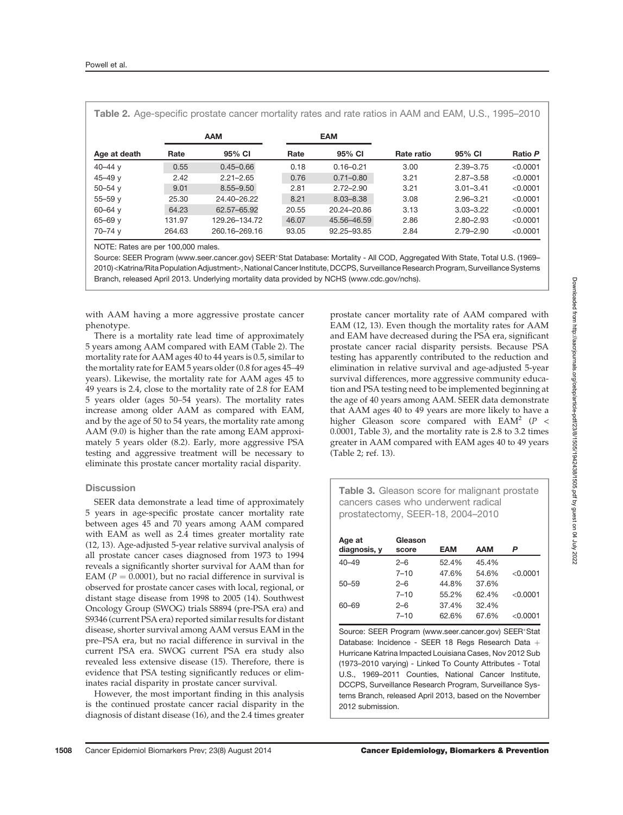| Table 2. Age-specific prostate cancer mortality rates and rate ratios in AAM and EAM, U.S., 1995–2010 |            |               |            |               |            |               |          |  |
|-------------------------------------------------------------------------------------------------------|------------|---------------|------------|---------------|------------|---------------|----------|--|
|                                                                                                       | <b>AAM</b> |               | <b>EAM</b> |               |            |               |          |  |
| Age at death                                                                                          | Rate       | 95% CI        | Rate       | 95% CI        | Rate ratio | 95% CI        | Ratio P  |  |
| 40 $-44$ y                                                                                            | 0.55       | $0.45 - 0.66$ | 0.18       | $0.16 - 0.21$ | 3.00       | $2.39 - 3.75$ | < 0.0001 |  |
| 45 $-49y$                                                                                             | 2.42       | $2.21 - 2.65$ | 0.76       | $0.71 - 0.80$ | 3.21       | $2.87 - 3.58$ | < 0.0001 |  |
| $50 - 54$ y                                                                                           | 9.01       | $8.55 - 9.50$ | 2.81       | $2.72 - 2.90$ | 3.21       | $3.01 - 3.41$ | < 0.0001 |  |
| $55 - 59$ v                                                                                           | 25.30      | 24.40-26.22   | 8.21       | $8.03 - 8.38$ | 3.08       | $2.96 - 3.21$ | < 0.0001 |  |
| $60 - 64$ y                                                                                           | 64.23      | 62.57-65.92   | 20.55      | 20.24-20.86   | 3.13       | $3.03 - 3.22$ | < 0.0001 |  |
| $65 - 69$ y                                                                                           | 131.97     | 129.26-134.72 | 46.07      | 45.56-46.59   | 2.86       | $2.80 - 2.93$ | < 0.0001 |  |
| $70 - 74$ y                                                                                           | 264.63     | 260.16-269.16 | 93.05      | 92.25-93.85   | 2.84       | $2.79 - 2.90$ | < 0.0001 |  |

NOTE: Rates are per 100,000 males.

Source: SEER Program (www.seer.cancer.gov) SEER\*Stat Database: Mortality - All COD, Aggregated With State, Total U.S. (1969– 2010) <Katrina/Rita Population Adjustment>, National Cancer Institute, DCCPS, Surveillance Research Program, Surveillance Systems Branch, released April 2013. Underlying mortality data provided by NCHS (www.cdc.gov/nchs).

with AAM having a more aggressive prostate cancer phenotype.

There is a mortality rate lead time of approximately 5 years among AAM compared with EAM (Table 2). The mortality rate for AAM ages 40 to 44 years is 0.5, similar to the mortality rate for EAM 5 years older (0.8 for ages 45–49 years). Likewise, the mortality rate for AAM ages 45 to 49 years is 2.4, close to the mortality rate of 2.8 for EAM 5 years older (ages 50–54 years). The mortality rates increase among older AAM as compared with EAM, and by the age of 50 to 54 years, the mortality rate among AAM (9.0) is higher than the rate among EAM approximately 5 years older (8.2). Early, more aggressive PSA testing and aggressive treatment will be necessary to eliminate this prostate cancer mortality racial disparity.

## **Discussion**

SEER data demonstrate a lead time of approximately 5 years in age-specific prostate cancer mortality rate between ages 45 and 70 years among AAM compared with EAM as well as 2.4 times greater mortality rate (12, 13). Age-adjusted 5-year relative survival analysis of all prostate cancer cases diagnosed from 1973 to 1994 reveals a significantly shorter survival for AAM than for EAM ( $P = 0.0001$ ), but no racial difference in survival is observed for prostate cancer cases with local, regional, or distant stage disease from 1998 to 2005 (14). Southwest Oncology Group (SWOG) trials S8894 (pre-PSA era) and S9346 (current PSA era) reported similar results for distant disease, shorter survival among AAM versus EAM in the pre–PSA era, but no racial difference in survival in the current PSA era. SWOG current PSA era study also revealed less extensive disease (15). Therefore, there is evidence that PSA testing significantly reduces or eliminates racial disparity in prostate cancer survival.

However, the most important finding in this analysis is the continued prostate cancer racial disparity in the diagnosis of distant disease (16), and the 2.4 times greater

prostate cancer mortality rate of AAM compared with EAM (12, 13). Even though the mortality rates for AAM and EAM have decreased during the PSA era, significant prostate cancer racial disparity persists. Because PSA testing has apparently contributed to the reduction and elimination in relative survival and age-adjusted 5-year survival differences, more aggressive community education and PSA testing need to be implemented beginning at the age of 40 years among AAM. SEER data demonstrate that AAM ages 40 to 49 years are more likely to have a higher Gleason score compared with  $EAM^2$  ( $P \leq$ 0.0001, Table 3), and the mortality rate is 2.8 to 3.2 times greater in AAM compared with EAM ages 40 to 49 years (Table 2; ref. 13).

**Table 3.** Gleason score for malignant prostate cancers cases who underwent radical prostatectomy, SEER-18, 2004–2010

| Age at<br>diagnosis, y | Gleason<br>score | <b>EAM</b> | <b>AAM</b> | P          |
|------------------------|------------------|------------|------------|------------|
| $40 - 49$              | $2 - 6$          | 52.4%      | 45.4%      |            |
|                        | $7 - 10$         | 47.6%      | 54.6%      | < 0.0001   |
| $50 - 59$              | $2 - 6$          | 44.8%      | 37.6%      |            |
|                        | $7 - 10$         | 55.2%      | 62.4%      | < 0.0001   |
| 60-69                  | $2 - 6$          | 37.4%      | 32.4%      |            |
|                        | $7 - 10$         | 62.6%      | 67.6%      | $<$ 0.0001 |

Source: SEER Program (www.seer.cancer.gov) SEER\*Stat Database: Incidence - SEER 18 Regs Research Data + Hurricane Katrina Impacted Louisiana Cases, Nov 2012 Sub (1973–2010 varying) - Linked To County Attributes - Total U.S., 1969–2011 Counties, National Cancer Institute, DCCPS, Surveillance Research Program, Surveillance Systems Branch, released April 2013, based on the November 2012 submission.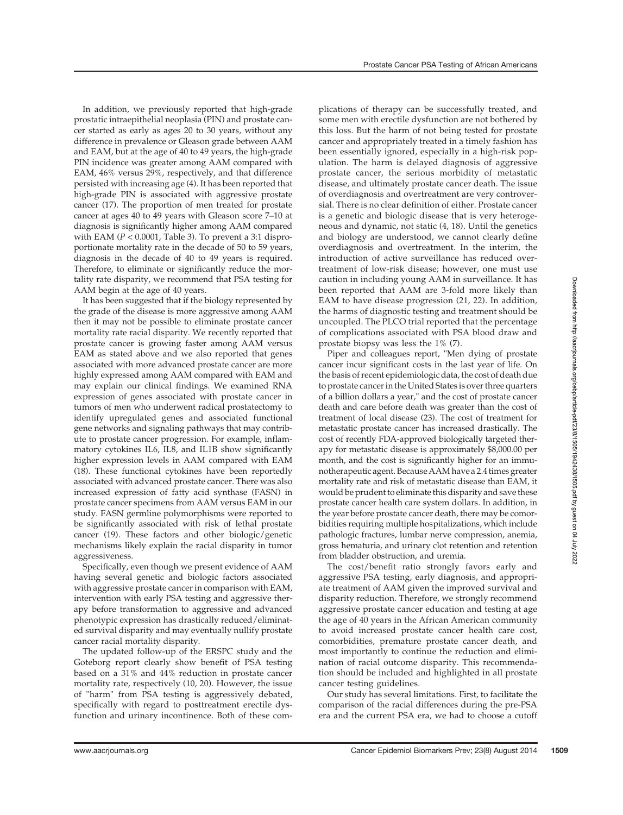In addition, we previously reported that high-grade prostatic intraepithelial neoplasia (PIN) and prostate cancer started as early as ages 20 to 30 years, without any difference in prevalence or Gleason grade between AAM and EAM, but at the age of 40 to 49 years, the high-grade PIN incidence was greater among AAM compared with EAM, 46% versus 29%, respectively, and that difference persisted with increasing age (4). It has been reported that high-grade PIN is associated with aggressive prostate cancer (17). The proportion of men treated for prostate cancer at ages 40 to 49 years with Gleason score 7–10 at diagnosis is significantly higher among AAM compared with EAM ( $P < 0.0001$ , Table 3). To prevent a 3:1 disproportionate mortality rate in the decade of 50 to 59 years, diagnosis in the decade of 40 to 49 years is required. Therefore, to eliminate or significantly reduce the mortality rate disparity, we recommend that PSA testing for AAM begin at the age of 40 years.

It has been suggested that if the biology represented by the grade of the disease is more aggressive among AAM then it may not be possible to eliminate prostate cancer mortality rate racial disparity. We recently reported that prostate cancer is growing faster among AAM versus EAM as stated above and we also reported that genes associated with more advanced prostate cancer are more highly expressed among AAM compared with EAM and may explain our clinical findings. We examined RNA expression of genes associated with prostate cancer in tumors of men who underwent radical prostatectomy to identify upregulated genes and associated functional gene networks and signaling pathways that may contribute to prostate cancer progression. For example, inflammatory cytokines IL6, IL8, and IL1B show significantly higher expression levels in AAM compared with EAM (18). These functional cytokines have been reportedly associated with advanced prostate cancer. There was also increased expression of fatty acid synthase (FASN) in prostate cancer specimens from AAM versus EAM in our study. FASN germline polymorphisms were reported to be significantly associated with risk of lethal prostate cancer (19). These factors and other biologic/genetic mechanisms likely explain the racial disparity in tumor aggressiveness.

Specifically, even though we present evidence of AAM having several genetic and biologic factors associated with aggressive prostate cancer in comparison with EAM, intervention with early PSA testing and aggressive therapy before transformation to aggressive and advanced phenotypic expression has drastically reduced/eliminated survival disparity and may eventually nullify prostate cancer racial mortality disparity.

The updated follow-up of the ERSPC study and the Goteborg report clearly show benefit of PSA testing based on a 31% and 44% reduction in prostate cancer mortality rate, respectively (10, 20). However, the issue of "harm" from PSA testing is aggressively debated, specifically with regard to posttreatment erectile dysfunction and urinary incontinence. Both of these complications of therapy can be successfully treated, and some men with erectile dysfunction are not bothered by this loss. But the harm of not being tested for prostate cancer and appropriately treated in a timely fashion has been essentially ignored, especially in a high-risk population. The harm is delayed diagnosis of aggressive prostate cancer, the serious morbidity of metastatic disease, and ultimately prostate cancer death. The issue of overdiagnosis and overtreatment are very controversial. There is no clear definition of either. Prostate cancer is a genetic and biologic disease that is very heterogeneous and dynamic, not static (4, 18). Until the genetics and biology are understood, we cannot clearly define overdiagnosis and overtreatment. In the interim, the introduction of active surveillance has reduced overtreatment of low-risk disease; however, one must use caution in including young AAM in surveillance. It has been reported that AAM are 3-fold more likely than EAM to have disease progression (21, 22). In addition, the harms of diagnostic testing and treatment should be uncoupled. The PLCO trial reported that the percentage of complications associated with PSA blood draw and prostate biopsy was less the 1% (7).

Piper and colleagues report, "Men dying of prostate cancer incur significant costs in the last year of life. On the basis of recent epidemiologic data, the cost of death due to prostate cancer in the United States is over three quarters of a billion dollars a year," and the cost of prostate cancer death and care before death was greater than the cost of treatment of local disease (23). The cost of treatment for metastatic prostate cancer has increased drastically. The cost of recently FDA-approved biologically targeted therapy for metastatic disease is approximately \$8,000.00 per month, and the cost is significantly higher for an immunotherapeutic agent. Because AAM have a 2.4 times greater mortality rate and risk of metastatic disease than EAM, it would be prudent to eliminate this disparity and save these prostate cancer health care system dollars. In addition, in the year before prostate cancer death, there may be comorbidities requiring multiple hospitalizations, which include pathologic fractures, lumbar nerve compression, anemia, gross hematuria, and urinary clot retention and retention from bladder obstruction, and uremia.

The cost/benefit ratio strongly favors early and aggressive PSA testing, early diagnosis, and appropriate treatment of AAM given the improved survival and disparity reduction. Therefore, we strongly recommend aggressive prostate cancer education and testing at age the age of 40 years in the African American community to avoid increased prostate cancer health care cost, comorbidities, premature prostate cancer death, and most importantly to continue the reduction and elimination of racial outcome disparity. This recommendation should be included and highlighted in all prostate cancer testing guidelines.

Our study has several limitations. First, to facilitate the comparison of the racial differences during the pre-PSA era and the current PSA era, we had to choose a cutoff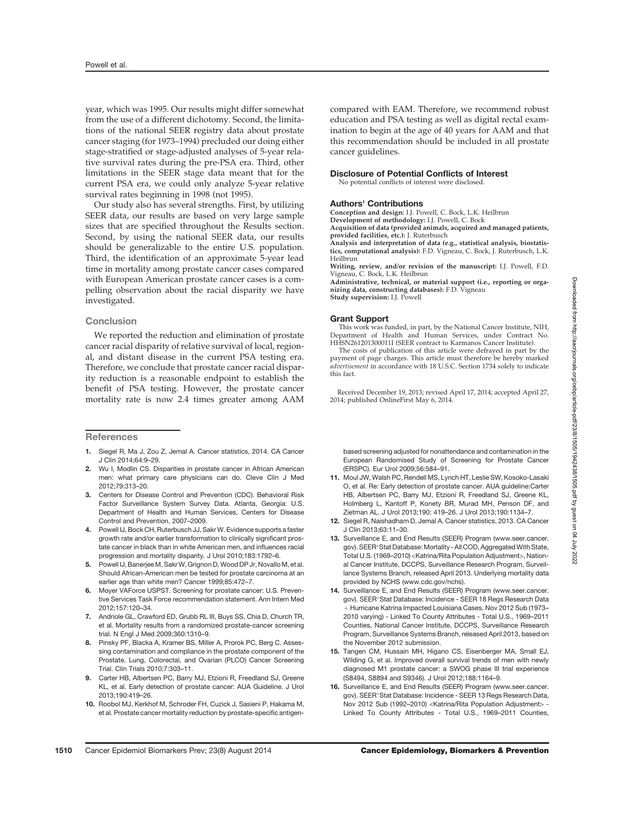year, which was 1995. Our results might differ somewhat from the use of a different dichotomy. Second, the limitations of the national SEER registry data about prostate cancer staging (for 1973–1994) precluded our doing either stage-stratified or stage-adjusted analyses of 5-year relative survival rates during the pre-PSA era. Third, other limitations in the SEER stage data meant that for the current PSA era, we could only analyze 5-year relative survival rates beginning in 1998 (not 1995).

Our study also has several strengths. First, by utilizing SEER data, our results are based on very large sample sizes that are specified throughout the Results section. Second, by using the national SEER data, our results should be generalizable to the entire U.S. population. Third, the identification of an approximate 5-year lead time in mortality among prostate cancer cases compared with European American prostate cancer cases is a compelling observation about the racial disparity we have investigated.

## **Conclusion**

We reported the reduction and elimination of prostate cancer racial disparity of relative survival of local, regional, and distant disease in the current PSA testing era. Therefore, we conclude that prostate cancer racial disparity reduction is a reasonable endpoint to establish the benefit of PSA testing. However, the prostate cancer mortality rate is now 2.4 times greater among AAM

#### **References**

- 1. Siegel R, Ma J, Zou Z, Jemal A. Cancer statistics, 2014. CA Cancer J Clin 2014;64:9–29.
- 2. Wu I, Modlin CS. Disparities in prostate cancer in African American men: what primary care physicians can do. Cleve Clin J Med 2012;79:313–20.
- 3. Centers for Disease Control and Prevention (CDC). Behavioral Risk Factor Surveillance System Survey Data. Atlanta, Georgia: U.S. Department of Health and Human Services, Centers for Disease Control and Prevention, 2007–2009.
- Powell IJ, Bock CH, Ruterbusch JJ, Sakr W. Evidence supports a faster growth rate and/or earlier transformation to clinically significant prostate cancer in black than in white American men, and influences racial progression and mortality disparity. J Urol 2010;183:1792–6.
- 5. Powell IJ, Banerjee M, Sakr W, Grignon D, Wood DP Jr, Novallo M, et al. Should African-American men be tested for prostate carcinoma at an earlier age than white men? Cancer 1999;85:472–7.
- 6. Moyer VAForce USPST. Screening for prostate cancer: U.S. Preventive Services Task Force recommendation statement. Ann Intern Med 2012;157:120–34.
- 7. Andriole GL, Crawford ED, Grubb RL III, Buys SS, Chia D, Church TR, et al. Mortality results from a randomized prostate-cancer screening trial. N Engl J Med 2009;360:1310–9.
- 8. Pinsky PF, Blacka A, Kramer BS, Miller A, Prorok PC, Berg C. Assessing contamination and compliance in the prostate component of the Prostate, Lung, Colorectal, and Ovarian (PLCO) Cancer Screening Trial. Clin Trials 2010;7:303–11.
- 9. Carter HB, Albertsen PC, Barry MJ, Etzioni R, Freedland SJ, Greene KL, et al. Early detection of prostate cancer: AUA Guideline. J Urol 2013;190:419–26.
- 10. Roobol MJ, Kerkhof M, Schroder FH, Cuzick J, Sasieni P, Hakama M, et al. Prostate cancer mortality reduction by prostate-specific antigen-

compared with EAM. Therefore, we recommend robust education and PSA testing as well as digital rectal examination to begin at the age of 40 years for AAM and that this recommendation should be included in all prostate cancer guidelines.

#### Disclosure of Potential Conflicts of Interest

No potential conflicts of interest were disclosed.

#### Authors' Contributions

Conception and design: I.J. Powell, C. Bock, L.K. Heilbrun Development of methodology: I.J. Powell, C. Bock

Acquisition of data (provided animals, acquired and managed patients, provided facilities, etc.): J. Ruterbusch

Analysis and interpretation of data (e.g., statistical analysis, biostatistics, computational analysis): F.D. Vigneau, C. Bock, J. Ruterbusch, L.K. Heilbrun

Writing, review, and/or revision of the manuscript: I.J. Powell, F.D. Vigneau, C. Bock, L.K. Heilbrun

Administrative, technical, or material support (i.e., reporting or organizing data, constructing databases): F.D. Vigneau Study supervision: I.J. Powell

#### Grant Support

This work was funded, in part, by the National Cancer Institute, NIH, Department of Health and Human Services, under Contract No. HHSN261201300011I (SEER contract to Karmanos Cancer Institute).

The costs of publication of this article were defrayed in part by the payment of page charges. This article must therefore be hereby marked advertisement in accordance with 18 U.S.C. Section 1734 solely to indicate this fact.

Received December 19, 2013; revised April 17, 2014; accepted April 27, 2014; published OnlineFirst May 6, 2014.

based screening adjusted for nonattendance and contamination in the European Randomised Study of Screening for Prostate Cancer (ERSPC). Eur Urol 2009;56:584–91.

- 11. Moul JW, Walsh PC, Rendell MS, Lynch HT, Leslie SW, Kosoko-Lasaki O, et al. Re: Early detection of prostate cancer. AUA guideline:Carter HB, Albertsen PC, Barry MJ, Etzioni R, Freedland SJ, Greene KL, Holmberg L, Kantoff P, Konety BR, Murad MH, Penson DF, and Zietman AL. J Urol 2013;190: 419–26. J Urol 2013;190:1134–7.
- 12. Siegel R, Naishadham D, Jemal A. Cancer statistics, 2013. CA Cancer J Clin 2013;63:11–30.
- 13. Surveillance E, and End Results (SEER) Program (www.seer.cancer. gov). SEER\*Stat Database: Mortality - All COD, Aggregated With State, Total U.S. (1969–2010) <Katrina/Rita Population Adjustment>, National Cancer Institute, DCCPS, Surveillance Research Program, Surveillance Systems Branch, released April 2013. Underlying mortality data provided by NCHS (www.cdc.gov/nchs).
- 14. Surveillance E, and End Results (SEER) Program (www.seer.cancer. gov). SEER\*Stat Database: Incidence - SEER 18 Regs Research Data þ Hurricane Katrina Impacted Louisiana Cases, Nov 2012 Sub (1973– 2010 varying) - Linked To County Attributes - Total U.S., 1969–2011 Counties, National Cancer Institute, DCCPS, Surveillance Research Program, Surveillance Systems Branch, released April 2013, based on the November 2012 submission.
- 15. Tangen CM, Hussain MH, Higano CS, Eisenberger MA, Small EJ, Wilding G, et al. Improved overall survival trends of men with newly diagnosed M1 prostate cancer: a SWOG phase III trial experience (S8494, S8894 and S9346). J Urol 2012;188:1164–9.
- 16. Surveillance E, and End Results (SEER) Program (www.seer.cancer. gov). SEER\* Stat Database: Incidence - SEER 13 Regs Research Data, Nov 2012 Sub (1992–2010) <Katrina/Rita Population Adjustment> - Linked To County Attributes - Total U.S., 1969–2011 Counties,